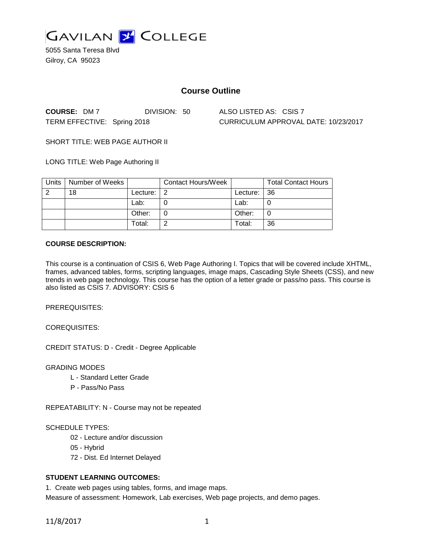

5055 Santa Teresa Blvd Gilroy, CA 95023

# **Course Outline**

**COURSE:** DM 7 DIVISION: 50 ALSO LISTED AS: CSIS 7

TERM EFFECTIVE: Spring 2018 CURRICULUM APPROVAL DATE: 10/23/2017

SHORT TITLE: WEB PAGE AUTHOR II

LONG TITLE: Web Page Authoring II

| Units | Number of Weeks |          | <b>Contact Hours/Week</b> |          | <b>Total Contact Hours</b> |
|-------|-----------------|----------|---------------------------|----------|----------------------------|
| റ     | 18              | Lecture: | -2                        | Lecture: | 36                         |
|       |                 | Lab:     |                           | Lab:     |                            |
|       |                 | Other:   |                           | Other:   | U                          |
|       |                 | Total:   |                           | Total:   | 36                         |

## **COURSE DESCRIPTION:**

This course is a continuation of CSIS 6, Web Page Authoring I. Topics that will be covered include XHTML, frames, advanced tables, forms, scripting languages, image maps, Cascading Style Sheets (CSS), and new trends in web page technology. This course has the option of a letter grade or pass/no pass. This course is also listed as CSIS 7. ADVISORY: CSIS 6

PREREQUISITES:

COREQUISITES:

CREDIT STATUS: D - Credit - Degree Applicable

GRADING MODES

- L Standard Letter Grade
- P Pass/No Pass

REPEATABILITY: N - Course may not be repeated

## SCHEDULE TYPES:

- 02 Lecture and/or discussion
- 05 Hybrid
- 72 Dist. Ed Internet Delayed

# **STUDENT LEARNING OUTCOMES:**

1. Create web pages using tables, forms, and image maps.

Measure of assessment: Homework, Lab exercises, Web page projects, and demo pages.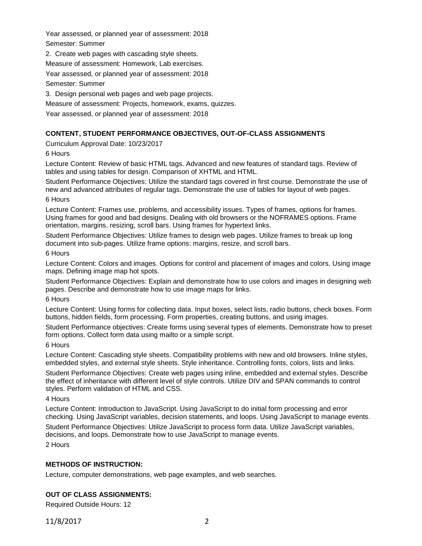Year assessed, or planned year of assessment: 2018 Semester: Summer

2. Create web pages with cascading style sheets.

Measure of assessment: Homework, Lab exercises.

Year assessed, or planned year of assessment: 2018

Semester: Summer

3. Design personal web pages and web page projects.

Measure of assessment: Projects, homework, exams, quizzes.

Year assessed, or planned year of assessment: 2018

# **CONTENT, STUDENT PERFORMANCE OBJECTIVES, OUT-OF-CLASS ASSIGNMENTS**

Curriculum Approval Date: 10/23/2017

6 Hours

Lecture Content: Review of basic HTML tags. Advanced and new features of standard tags. Review of tables and using tables for design. Comparison of XHTML and HTML.

Student Performance Objectives: Utilize the standard tags covered in first course. Demonstrate the use of new and advanced attributes of regular tags. Demonstrate the use of tables for layout of web pages.

6 Hours

Lecture Content: Frames use, problems, and accessibility issues. Types of frames, options for frames. Using frames for good and bad designs. Dealing with old browsers or the NOFRAMES options. Frame orientation, margins, resizing, scroll bars. Using frames for hypertext links.

Student Performance Objectives: Utilize frames to design web pages. Utilize frames to break up long document into sub-pages. Utilize frame options: margins, resize, and scroll bars.

6 Hours

Lecture Content: Colors and images. Options for control and placement of images and colors. Using image maps. Defining image map hot spots.

Student Performance Objectives: Explain and demonstrate how to use colors and images in designing web pages. Describe and demonstrate how to use image maps for links.

6 Hours

Lecture Content: Using forms for collecting data. Input boxes, select lists, radio buttons, check boxes. Form buttons, hidden fields, form processing. Form properties, creating buttons, and using images.

Student Performance objectives: Create forms using several types of elements. Demonstrate how to preset form options. Collect form data using mailto or a simple script.

6 Hours

Lecture Content: Cascading style sheets. Compatibility problems with new and old browsers. Inline styles, embedded styles, and external style sheets. Style inheritance. Controlling fonts, colors, lists and links.

Student Performance Objectives: Create web pages using inline, embedded and external styles. Describe the effect of inheritance with different level of style controls. Utilize DIV and SPAN commands to control styles. Perform validation of HTML and CSS.

4 Hours

Lecture Content: Introduction to JavaScript. Using JavaScript to do initial form processing and error checking. Using JavaScript variables, decision statements, and loops. Using JavaScript to manage events. Student Performance Objectives: Utilize JavaScript to process form data. Utilize JavaScript variables, decisions, and loops. Demonstrate how to use JavaScript to manage events.

2 Hours

# **METHODS OF INSTRUCTION:**

Lecture, computer demonstrations, web page examples, and web searches.

# **OUT OF CLASS ASSIGNMENTS:**

Required Outside Hours: 12

11/8/2017 2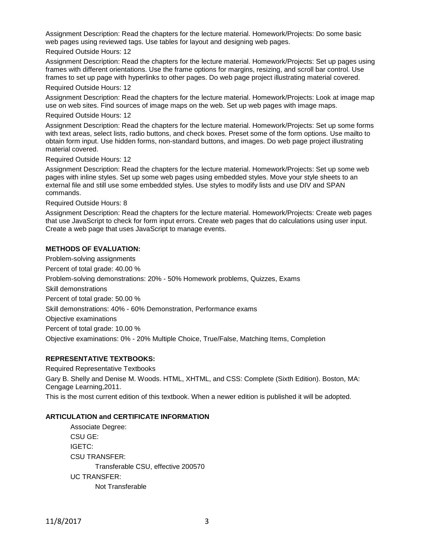Assignment Description: Read the chapters for the lecture material. Homework/Projects: Do some basic web pages using reviewed tags. Use tables for layout and designing web pages.

## Required Outside Hours: 12

Assignment Description: Read the chapters for the lecture material. Homework/Projects: Set up pages using frames with different orientations. Use the frame options for margins, resizing, and scroll bar control. Use frames to set up page with hyperlinks to other pages. Do web page project illustrating material covered. Required Outside Hours: 12

Assignment Description: Read the chapters for the lecture material. Homework/Projects: Look at image map use on web sites. Find sources of image maps on the web. Set up web pages with image maps.

## Required Outside Hours: 12

Assignment Description: Read the chapters for the lecture material. Homework/Projects: Set up some forms with text areas, select lists, radio buttons, and check boxes. Preset some of the form options. Use mailto to obtain form input. Use hidden forms, non-standard buttons, and images. Do web page project illustrating material covered.

#### Required Outside Hours: 12

Assignment Description: Read the chapters for the lecture material. Homework/Projects: Set up some web pages with inline styles. Set up some web pages using embedded styles. Move your style sheets to an external file and still use some embedded styles. Use styles to modify lists and use DIV and SPAN commands.

Required Outside Hours: 8

Assignment Description: Read the chapters for the lecture material. Homework/Projects: Create web pages that use JavaScript to check for form input errors. Create web pages that do calculations using user input. Create a web page that uses JavaScript to manage events.

## **METHODS OF EVALUATION:**

Problem-solving assignments Percent of total grade: 40.00 % Problem-solving demonstrations: 20% - 50% Homework problems, Quizzes, Exams Skill demonstrations Percent of total grade: 50.00 % Skill demonstrations: 40% - 60% Demonstration, Performance exams Objective examinations Percent of total grade: 10.00 % Objective examinations: 0% - 20% Multiple Choice, True/False, Matching Items, Completion

## **REPRESENTATIVE TEXTBOOKS:**

Required Representative Textbooks

Gary B. Shelly and Denise M. Woods. HTML, XHTML, and CSS: Complete (Sixth Edition). Boston, MA: Cengage Learning,2011.

This is the most current edition of this textbook. When a newer edition is published it will be adopted.

## **ARTICULATION and CERTIFICATE INFORMATION**

Associate Degree: CSU GE: IGETC: CSU TRANSFER: Transferable CSU, effective 200570 UC TRANSFER: Not Transferable